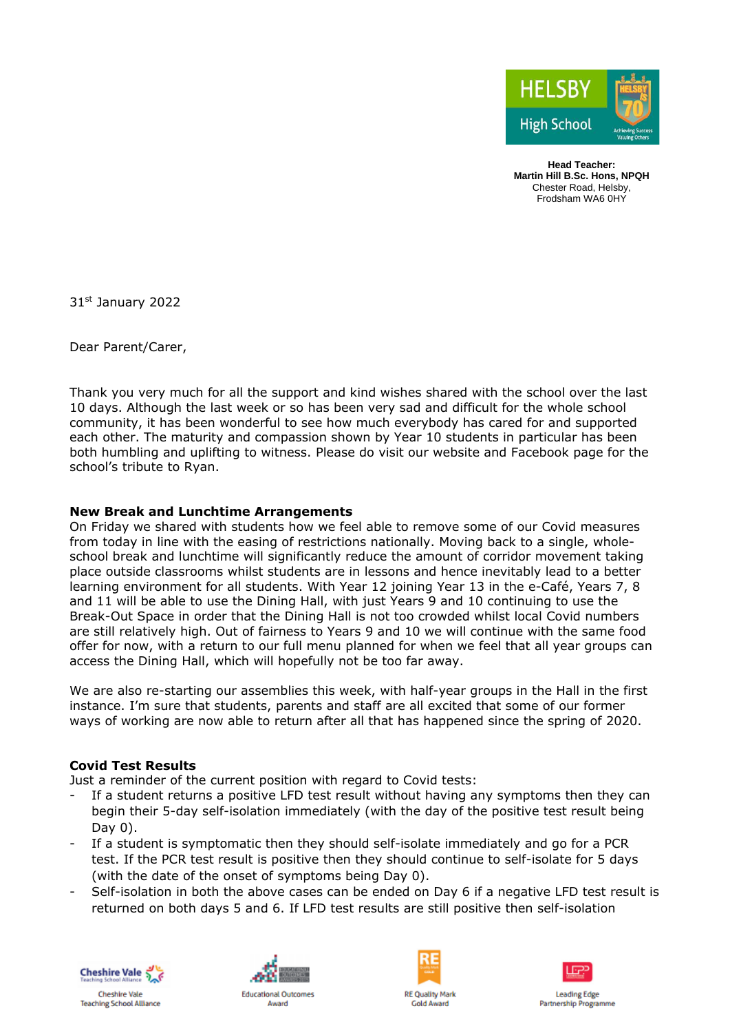

**Head Teacher: Martin Hill B.Sc. Hons, NPQH** Chester Road, Helsby, Frodsham WA6 0HY

31st January 2022

Dear Parent/Carer,

Thank you very much for all the support and kind wishes shared with the school over the last 10 days. Although the last week or so has been very sad and difficult for the whole school community, it has been wonderful to see how much everybody has cared for and supported each other. The maturity and compassion shown by Year 10 students in particular has been both humbling and uplifting to witness. Please do visit our website and Facebook page for the school's tribute to Ryan.

# **New Break and Lunchtime Arrangements**

On Friday we shared with students how we feel able to remove some of our Covid measures from today in line with the easing of restrictions nationally. Moving back to a single, wholeschool break and lunchtime will significantly reduce the amount of corridor movement taking place outside classrooms whilst students are in lessons and hence inevitably lead to a better learning environment for all students. With Year 12 joining Year 13 in the e-Café, Years 7, 8 and 11 will be able to use the Dining Hall, with just Years 9 and 10 continuing to use the Break-Out Space in order that the Dining Hall is not too crowded whilst local Covid numbers are still relatively high. Out of fairness to Years 9 and 10 we will continue with the same food offer for now, with a return to our full menu planned for when we feel that all year groups can access the Dining Hall, which will hopefully not be too far away.

We are also re-starting our assemblies this week, with half-year groups in the Hall in the first instance. I'm sure that students, parents and staff are all excited that some of our former ways of working are now able to return after all that has happened since the spring of 2020.

### **Covid Test Results**

Just a reminder of the current position with regard to Covid tests:

- If a student returns a positive LFD test result without having any symptoms then they can begin their 5-day self-isolation immediately (with the day of the positive test result being Day 0).
- If a student is symptomatic then they should self-isolate immediately and go for a PCR test. If the PCR test result is positive then they should continue to self-isolate for 5 days (with the date of the onset of symptoms being Day 0).
- Self-isolation in both the above cases can be ended on Day 6 if a negative LFD test result is returned on both days 5 and 6. If LFD test results are still positive then self-isolation





Award





**Leading Edge Partnership Programme** 

Chachira Vale **Teaching School Alliance**